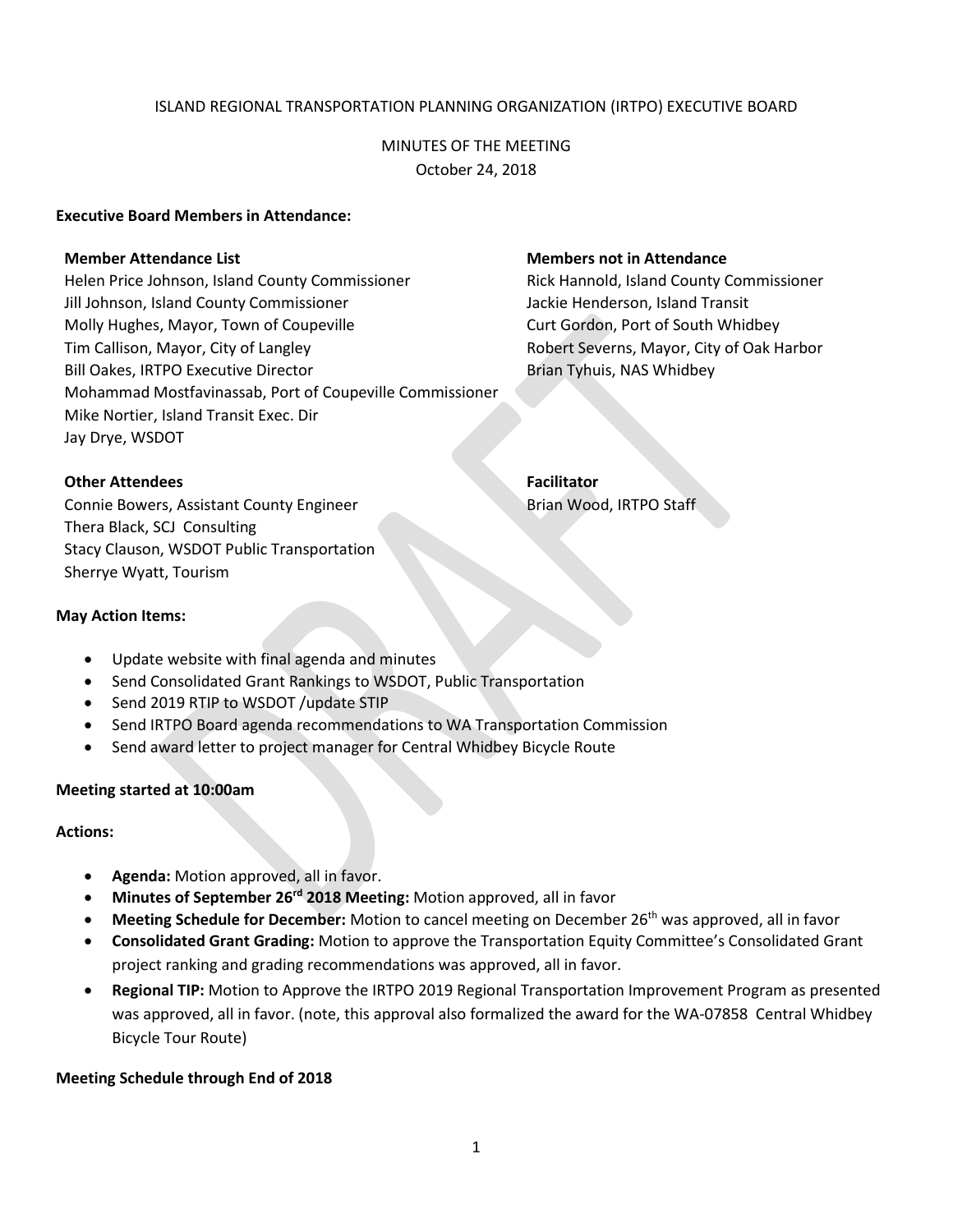# ISLAND REGIONAL TRANSPORTATION PLANNING ORGANIZATION (IRTPO) EXECUTIVE BOARD

# MINUTES OF THE MEETING October 24, 2018

#### **Executive Board Members in Attendance:**

Helen Price Johnson, Island County Commissioner Rick Hannold, Island County Commissioner Jill Johnson, Island County Commissioner July 1986 Mackie Henderson, Island Transit Molly Hughes, Mayor, Town of Coupeville Curt Cordon, Port of South Whidbey Tim Callison, Mayor, City of Langley Robert Severns, Mayor, City of Oak Harbor Bill Oakes, IRTPO Executive Director **Brian Tyhuis, NAS Whidbey** Brian Tyhuis, NAS Whidbey Mohammad Mostfavinassab, Port of Coupeville Commissioner Mike Nortier, Island Transit Exec. Dir Jay Drye, WSDOT

# **Member Attendance List Members not in Attendance**

### **Other Attendees Facilitator**

Connie Bowers, Assistant County Engineer Brian Wood, IRTPO Staff Thera Black, SCJ Consulting Stacy Clauson, WSDOT Public Transportation Sherrye Wyatt, Tourism

## **May Action Items:**

- Update website with final agenda and minutes
- Send Consolidated Grant Rankings to WSDOT, Public Transportation
- Send 2019 RTIP to WSDOT /update STIP
- Send IRTPO Board agenda recommendations to WA Transportation Commission
- Send award letter to project manager for Central Whidbey Bicycle Route

### **Meeting started at 10:00am**

### **Actions:**

- **Agenda:** Motion approved, all in favor.
- **Minutes of September 26rd 2018 Meeting:** Motion approved, all in favor
- **Meeting Schedule for December:** Motion to cancel meeting on December 26th was approved, all in favor
- **Consolidated Grant Grading:** Motion to approve the Transportation Equity Committee's Consolidated Grant project ranking and grading recommendations was approved, all in favor.
- **Regional TIP:** Motion to Approve the IRTPO 2019 Regional Transportation Improvement Program as presented was approved, all in favor. (note, this approval also formalized the award for the WA-07858 Central Whidbey Bicycle Tour Route)

### **Meeting Schedule through End of 2018**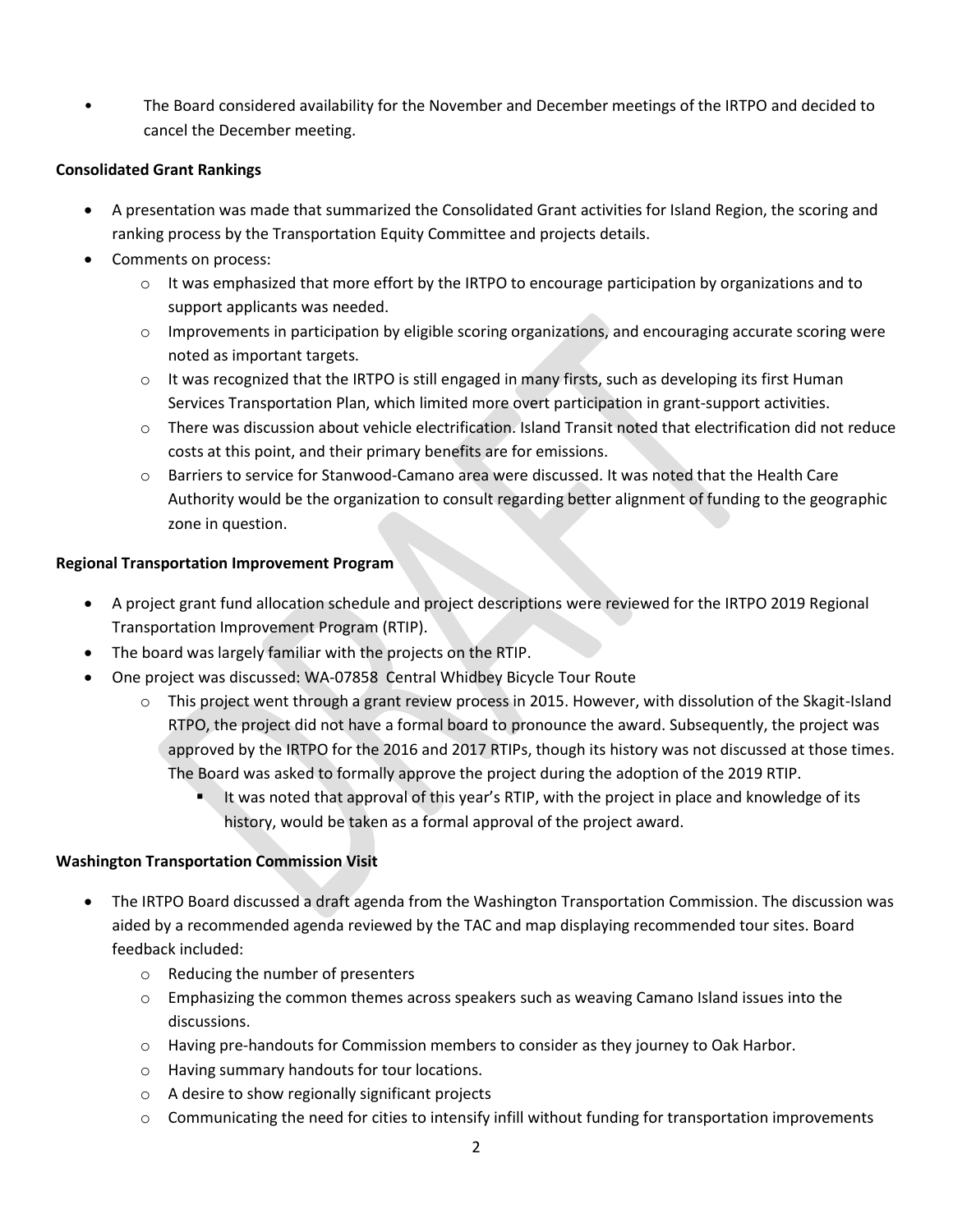• The Board considered availability for the November and December meetings of the IRTPO and decided to cancel the December meeting.

# **Consolidated Grant Rankings**

- A presentation was made that summarized the Consolidated Grant activities for Island Region, the scoring and ranking process by the Transportation Equity Committee and projects details.
- Comments on process:
	- $\circ$  It was emphasized that more effort by the IRTPO to encourage participation by organizations and to support applicants was needed.
	- $\circ$  Improvements in participation by eligible scoring organizations, and encouraging accurate scoring were noted as important targets.
	- $\circ$  It was recognized that the IRTPO is still engaged in many firsts, such as developing its first Human Services Transportation Plan, which limited more overt participation in grant-support activities.
	- o There was discussion about vehicle electrification. Island Transit noted that electrification did not reduce costs at this point, and their primary benefits are for emissions.
	- o Barriers to service for Stanwood-Camano area were discussed. It was noted that the Health Care Authority would be the organization to consult regarding better alignment of funding to the geographic zone in question.

# **Regional Transportation Improvement Program**

- A project grant fund allocation schedule and project descriptions were reviewed for the IRTPO 2019 Regional Transportation Improvement Program (RTIP).
- The board was largely familiar with the projects on the RTIP.
- One project was discussed: WA-07858 Central Whidbey Bicycle Tour Route
	- $\circ$  This project went through a grant review process in 2015. However, with dissolution of the Skagit-Island RTPO, the project did not have a formal board to pronounce the award. Subsequently, the project was approved by the IRTPO for the 2016 and 2017 RTIPs, though its history was not discussed at those times. The Board was asked to formally approve the project during the adoption of the 2019 RTIP.
		- It was noted that approval of this year's RTIP, with the project in place and knowledge of its history, would be taken as a formal approval of the project award.

# **Washington Transportation Commission Visit**

- The IRTPO Board discussed a draft agenda from the Washington Transportation Commission. The discussion was aided by a recommended agenda reviewed by the TAC and map displaying recommended tour sites. Board feedback included:
	- o Reducing the number of presenters
	- $\circ$  Emphasizing the common themes across speakers such as weaving Camano Island issues into the discussions.
	- $\circ$  Having pre-handouts for Commission members to consider as they journey to Oak Harbor.
	- o Having summary handouts for tour locations.
	- o A desire to show regionally significant projects
	- $\circ$  Communicating the need for cities to intensify infill without funding for transportation improvements